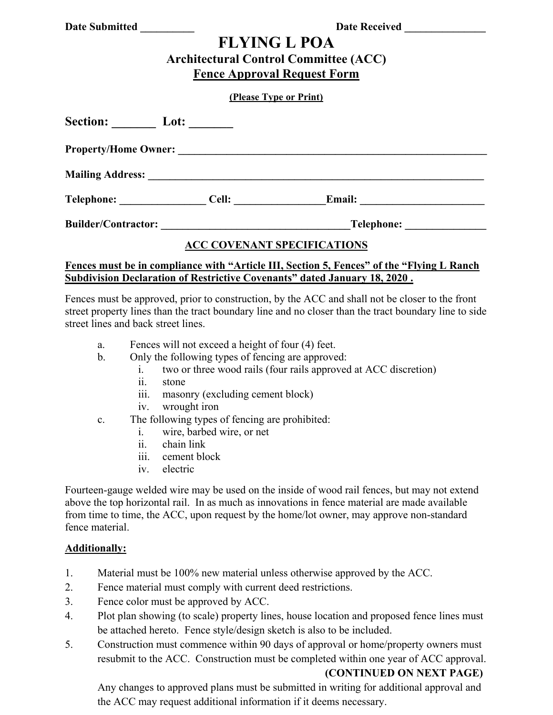|  | <b>Date Submitted</b> |
|--|-----------------------|
|  |                       |

**Date Received** 

# **FLYING L POA Architectural Control Committee (ACC)**

# **Fence Approval Request Form**

#### **(Please Type or Print)**

| Section: Lot: Lote          |                                                                                                                       |               |  |
|-----------------------------|-----------------------------------------------------------------------------------------------------------------------|---------------|--|
| <b>Property/Home Owner:</b> |                                                                                                                       |               |  |
|                             |                                                                                                                       |               |  |
| Telephone: ______________   | Cell:                                                                                                                 | <b>Email:</b> |  |
| <b>Builder/Contractor:</b>  | <u> 1989 - Johann John Stein, mars ar yw i brenin y cynnwys y cynnwys y cynnwys y cynnwys y cynnwys y cynnwys y c</u> | Telephone:    |  |
|                             | <b>ACC COVENANT SPECIFICATIONS</b>                                                                                    |               |  |

### **Fences must be in compliance with "Article III, Section 5, Fences" of the "Flying L Ranch Subdivision Declaration of Restrictive Covenants" dated January 18, 2020 .**

Fences must be approved, prior to construction, by the ACC and shall not be closer to the front street property lines than the tract boundary line and no closer than the tract boundary line to side street lines and back street lines.

- a. Fences will not exceed a height of four (4) feet.
- b. Only the following types of fencing are approved:
	- i. two or three wood rails (four rails approved at ACC discretion)
	- ii. stone
	- iii. masonry (excluding cement block)
	- iv. wrought iron
- c. The following types of fencing are prohibited:
	- i. wire, barbed wire, or net
	- ii. chain link
	- iii. cement block
	- iv. electric

Fourteen-gauge welded wire may be used on the inside of wood rail fences, but may not extend above the top horizontal rail. In as much as innovations in fence material are made available from time to time, the ACC, upon request by the home/lot owner, may approve non-standard fence material.

#### **Additionally:**

- 1. Material must be 100% new material unless otherwise approved by the ACC.
- 2. Fence material must comply with current deed restrictions.
- 3. Fence color must be approved by ACC.
- 4. Plot plan showing (to scale) property lines, house location and proposed fence lines must be attached hereto. Fence style/design sketch is also to be included.
- 5. Construction must commence within 90 days of approval or home/property owners must resubmit to the ACC. Construction must be completed within one year of ACC approval.

#### **(CONTINUED ON NEXT PAGE)**

 Any changes to approved plans must be submitted in writing for additional approval and the ACC may request additional information if it deems necessary.